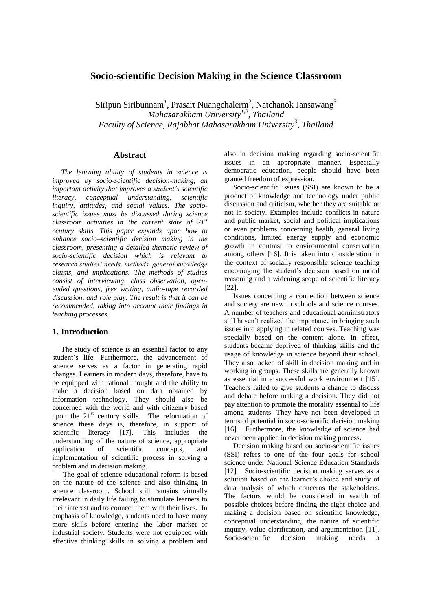# **Socio-scientific Decision Making in the Science Classroom**

Siripun Siribunnam<sup>1</sup>, Prasart Nuangchalerm<sup>2</sup>, Natchanok Jansawang<sup>3</sup> *Mahasarakham University1,2, Thailand Faculty of Science, Rajabhat Mahasarakham University<sup>3</sup> , Thailand* 

### **Abstract**

*The learning ability of students in science is improved by socio-scientific decision-making, an important activity that improves a student's scientific literacy, conceptual understanding, inquiry, attitudes, and social values. The socioscientific issues must be discussed during science classroom activities in the current state of 21st century skills. This paper expands upon how to enhance socio–scientific decision making in the classroom, presenting a detailed thematic review of socio-scientific decision which is relevant to research studies' needs, methods, general knowledge claims, and implications. The methods of studies consist of interviewing, class observation, openended questions, free writing, audio-tape recorded discussion, and role play. The result is that it can be recommended, taking into account their findings in teaching processes.*

### **1. Introduction**

The study of science is an essential factor to any student's life. Furthermore, the advancement of science serves as a factor in generating rapid changes. Learners in modern days, therefore, have to be equipped with rational thought and the ability to make a decision based on data obtained by information technology. They should also be concerned with the world and with citizenry based upon the  $21<sup>st</sup>$  century skills. The reformation of science these days is, therefore, in support of scientific literacy [17]. This includes the understanding of the nature of science, appropriate application of scientific concepts, and implementation of scientific process in solving a problem and in decision making.

 The goal of science educational reform is based on the nature of the science and also thinking in science classroom. School still remains virtually irrelevant in daily life failing to stimulate learners to their interest and to connect them with their lives. In emphasis of knowledge, students need to have many more skills before entering the labor market or industrial society. Students were not equipped with effective thinking skills in solving a problem and

also in decision making regarding socio-scientific issues in an appropriate manner. Especially democratic education, people should have been granted freedom of expression.

Socio-scientific issues (SSI) are known to be a product of knowledge and technology under public discussion and criticism, whether they are suitable or not in society. Examples include conflicts in nature and public market, social and political implications or even problems concerning health, general living conditions, limited energy supply and economic growth in contrast to environmental conservation among others [16]. It is taken into consideration in the context of socially responsible science teaching encouraging the student's decision based on moral reasoning and a widening scope of scientific literacy [22].

 Issues concerning a connection between science and society are new to schools and science courses. A number of teachers and educational administrators still haven't realized the importance in bringing such issues into applying in related courses. Teaching was specially based on the content alone. In effect, students became deprived of thinking skills and the usage of knowledge in science beyond their school. They also lacked of skill in decision making and in working in groups. These skills are generally known as essential in a successful work environment [15]. Teachers failed to give students a chance to discuss and debate before making a decision. They did not pay attention to promote the morality essential to life among students. They have not been developed in terms of potential in socio-scientific decision making [16]. Furthermore, the knowledge of science had never been applied in decision making process.

Decision making based on socio-scientific issues (SSI) refers to one of the four goals for school science under National Science Education Standards [12]. Socio-scientific decision making serves as a solution based on the learner's choice and study of data analysis of which concerns the stakeholders. The factors would be considered in search of possible choices before finding the right choice and making a decision based on scientific knowledge, conceptual understanding, the nature of scientific inquiry, value clarification, and argumentation [11]. Socio-scientific decision making needs a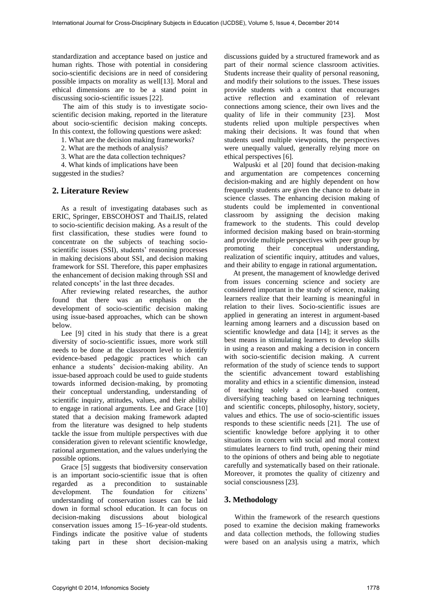standardization and acceptance based on justice and human rights. Those with potential in considering socio-scientific decisions are in need of considering possible impacts on morality as well[13]. Moral and ethical dimensions are to be a stand point in discussing socio-scientific issues [22].

 The aim of this study is to investigate socioscientific decision making, reported in the literature about socio-scientific decision making concepts. In this context, the following questions were asked:

1. What are the decision making frameworks?

2. What are the methods of analysis?

3. What are the data collection techniques?

4. What kinds of implications have been

suggested in the studies?

### **2. Literature Review**

As a result of investigating databases such as ERIC, Springer, EBSCOHOST and ThaiLIS, related to socio-scientific decision making. As a result of the first classification, these studies were found to concentrate on the subjects of teaching socioscientific issues (SSI), students' reasoning processes in making decisions about SSI, and decision making framework for SSI. Therefore, this paper emphasizes the enhancement of decision making through SSI and related concepts' in the last three decades.

After reviewing related researches, the author found that there was an emphasis on the development of socio-scientific decision making using issue-based approaches, which can be shown below.

Lee [9] cited in his study that there is a great diversity of socio-scientific issues, more work still needs to be done at the classroom level to identify evidence-based pedagogic practices which can enhance a students' decision-making ability. An issue-based approach could be used to guide students towards informed decision-making, by promoting their conceptual understanding, understanding of scientific inquiry, attitudes, values, and their ability to engage in rational arguments. Lee and Grace [10] stated that a decision making framework adapted from the literature was designed to help students tackle the issue from multiple perspectives with due consideration given to relevant scientific knowledge, rational argumentation, and the values underlying the possible options.

Grace [5] suggests that biodiversity conservation is an important socio-scientific issue that is often regarded as a precondition to sustainable development. The foundation for citizens' understanding of conservation issues can be laid down in formal school education. It can focus on decision-making discussions about biological conservation issues among 15–16-year-old students. Findings indicate the positive value of students taking part in these short decision-making

discussions guided by a structured framework and as part of their normal science classroom activities. Students increase their quality of personal reasoning, and modify their solutions to the issues. These issues provide students with a context that encourages active reflection and examination of relevant connections among science, their own lives and the quality of life in their community [23]. Most students relied upon multiple perspectives when making their decisions. It was found that when students used multiple viewpoints, the perspectives were unequally valued, generally relying more on ethical perspectives [6].

Walpuski et al [20] found that decision-making and argumentation are competences concerning decision-making and are highly dependent on how frequently students are given the chance to debate in science classes. The enhancing decision making of students could be implemented in conventional classroom by assigning the decision making framework to the students. This could develop informed decision making based on brain-storming and provide multiple perspectives with peer group by promoting their conceptual understanding, realization of scientific inquiry, attitudes and values, and their ability to engage in rational argumentation**.**

At present, the management of knowledge derived from issues concerning science and society are considered important in the study of science, making learners realize that their learning is meaningful in relation to their lives. Socio-scientific issues are applied in generating an interest in argument-based learning among learners and a discussion based on scientific knowledge and data [14]; it serves as the best means in stimulating learners to develop skills in using a reason and making a decision in concern with socio-scientific decision making. A current reformation of the study of science tends to support the scientific advancement toward establishing morality and ethics in a scientific dimension, instead of teaching solely a science-based content, diversifying teaching based on learning techniques and scientific concepts, philosophy, history, society, values and ethics. The use of socio-scientific issues responds to these scientific needs [21]. The use of scientific knowledge before applying it to other situations in concern with social and moral context stimulates learners to find truth, opening their mind to the opinions of others and being able to negotiate carefully and systematically based on their rationale. Moreover, it promotes the quality of citizenry and social consciousness [23].

#### **3. Methodology**

 Within the framework of the research questions posed to examine the decision making frameworks and data collection methods, the following studies were based on an analysis using a matrix, which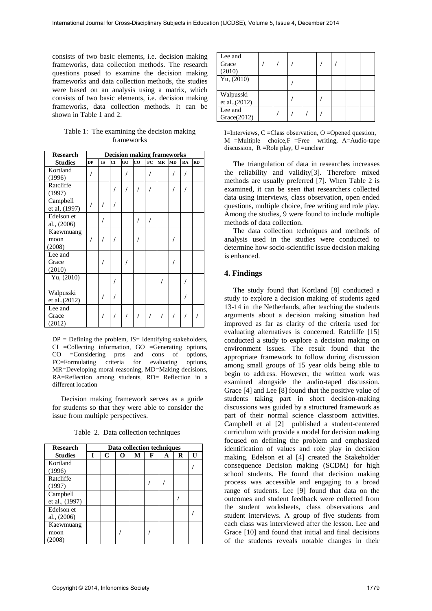consists of two basic elements, i.e. decision making frameworks, data collection methods. The research questions posed to examine the decision making frameworks and data collection methods, the studies were based on an analysis using a matrix, which consists of two basic elements, i.e. decision making frameworks, data collection methods. It can be shown in Table 1 and 2.

| Table 1: The examining the decision making |
|--------------------------------------------|
| frameworks                                 |

| <b>Research</b>             | <b>Decision making frameworks</b> |           |           |    |    |    |           |           |    |           |
|-----------------------------|-----------------------------------|-----------|-----------|----|----|----|-----------|-----------|----|-----------|
| <b>Studies</b>              | <b>DP</b>                         | <b>IS</b> | <b>CI</b> | GO | CO | FC | <b>MR</b> | <b>MD</b> | RA | <b>RD</b> |
| Kortland<br>(1996)          |                                   |           |           |    |    |    |           |           |    |           |
| Ratcliffe<br>(1997)         |                                   |           |           |    |    |    |           |           |    |           |
| Campbell<br>et al, (1997)   |                                   |           |           |    |    |    |           |           |    |           |
| Edelson et<br>al., (2006)   |                                   |           |           |    |    |    |           |           |    |           |
| Kaewmuang<br>moon<br>(2008) |                                   |           |           |    |    |    |           |           |    |           |
| Lee and<br>Grace<br>(2010)  |                                   |           |           |    |    |    |           |           |    |           |
| Yu, (2010)                  |                                   |           |           |    |    |    |           |           |    |           |
| Walpusski<br>et al., (2012) |                                   |           |           |    |    |    |           |           |    |           |
| Lee and<br>Grace<br>(2012)  |                                   |           |           |    |    |    |           |           |    |           |

 $DP = Defining$  the problem,  $IS = Identifying$  stakeholders, CI =Collecting information, GO =Generating options, CO =Considering pros and cons of options, FC=Formulating criteria for evaluating options, MR=Developing moral reasoning, MD=Making decisions, RA=Reflection among students, RD= Reflection in a different location

 Decision making framework serves as a guide for students so that they were able to consider the issue from multiple perspectives.

| <b>Research</b>             | Data collection techniques |   |   |   |   |   |   |    |  |
|-----------------------------|----------------------------|---|---|---|---|---|---|----|--|
| <b>Studies</b>              | T                          | C | O | М | F | A | R | T۱ |  |
| Kortland                    |                            |   |   |   |   |   |   |    |  |
| (1996)                      |                            |   |   |   |   |   |   |    |  |
| Ratcliffe<br>(1997)         |                            |   |   |   |   |   |   |    |  |
| Campbell<br>et al., (1997)  |                            |   |   |   |   |   |   |    |  |
| Edelson et<br>al., $(2006)$ |                            |   |   |   |   |   |   |    |  |
| Kaewmuang<br>moon<br>2008)  |                            |   |   |   |   |   |   |    |  |

Table 2. Data collection techniques

| Lee and<br>Grace            |  |  |  |  |
|-----------------------------|--|--|--|--|
| (2010)                      |  |  |  |  |
| Yu, $(2010)$                |  |  |  |  |
| Walpusski<br>et al., (2012) |  |  |  |  |
| Lee and<br>Grace(2012)      |  |  |  |  |

I=Interviews,  $C = Class$  observation,  $O = One$  question,  $M =$ Multiple choice, $F =$ Free writing, A=Audio-tape discussion,  $R =$ Role play, U = unclear

The triangulation of data in researches increases the reliability and validity[3]. Therefore mixed methods are usually preferred [7]. When Table 2 is examined, it can be seen that researchers collected data using interviews, class observation, open ended questions, multiple choice, free writing and role play. Among the studies, 9 were found to include multiple methods of data collection.

 The data collection techniques and methods of analysis used in the studies were conducted to determine how socio-scientific issue decision making is enhanced.

# **4. Findings**

 The study found that Kortland [8] conducted a study to explore a decision making of students aged 13-14 in the Netherlands, after teaching the students arguments about a decision making situation had improved as far as clarity of the criteria used for evaluating alternatives is concerned. Ratcliffe [15] conducted a study to explore a decision making on environment issues. The result found that the appropriate framework to follow during discussion among small groups of 15 year olds being able to begin to address. However, the written work was examined alongside the audio-taped discussion. Grace [4] and Lee [8] found that the positive value of students taking part in short decision-making discussions was guided by a structured framework as part of their normal science classroom activities. Campbell et al [2] published a student-centered curriculum with provide a model for decision making focused on defining the problem and emphasized identification of values and role play in decision making. Edelson et al [4] created the Stakeholder consequence Decision making (SCDM) for high school students. He found that decision making process was accessible and engaging to a broad range of students. Lee [9] found that data on the outcomes and student feedback were collected from the student worksheets, class observations and student interviews. A group of five students from each class was interviewed after the lesson. Lee and Grace [10] and found that initial and final decisions of the students reveals notable changes in their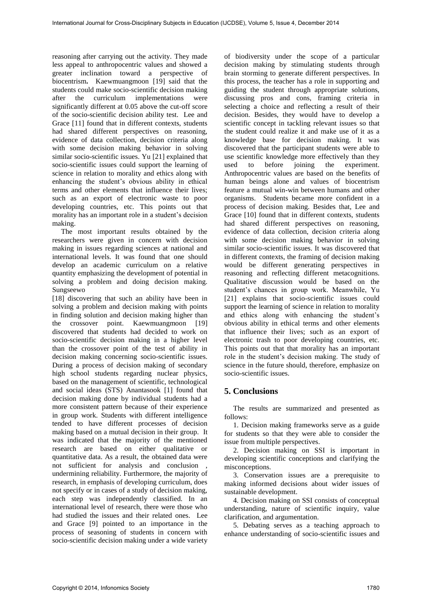reasoning after carrying out the activity. They made less appeal to anthropocentric values and showed a greater inclination toward a perspective of biocentrism**.** Kaewmuangmoon [19] said that the students could make socio-scientific decision making after the curriculum implementations were significantly different at 0.05 above the cut-off score of the socio-scientific decision ability test. Lee and Grace [11] found that in different contexts, students had shared different perspectives on reasoning, evidence of data collection, decision criteria along with some decision making behavior in solving similar socio-scientific issues. Yu [21] explained that socio-scientific issues could support the learning of science in relation to morality and ethics along with enhancing the student's obvious ability in ethical terms and other elements that influence their lives; such as an export of electronic waste to poor developing countries, etc. This points out that morality has an important role in a student's decision making.

 The most important results obtained by the researchers were given in concern with decision making in issues regarding sciences at national and international levels. It was found that one should develop an academic curriculum on a relative quantity emphasizing the development of potential in solving a problem and doing decision making. Sungseewo

[18] discovering that such an ability have been in solving a problem and decision making with points in finding solution and decision making higher than the crossover point. Kaewmuangmoon [19] discovered that students had decided to work on socio-scientific decision making in a higher level than the crossover point of the test of ability in decision making concerning socio-scientific issues. During a process of decision making of secondary high school students regarding nuclear physics, based on the management of scientific, technological and social ideas (STS) Anantasook [1] found that decision making done by individual students had a more consistent pattern because of their experience in group work. Students with different intelligence tended to have different processes of decision making based on a mutual decision in their group. It was indicated that the majority of the mentioned research are based on either qualitative or quantitative data. As a result, the obtained data were not sufficient for analysis and conclusion undermining reliability. Furthermore, the majority of research, in emphasis of developing curriculum, does not specify or in cases of a study of decision making, each step was independently classified. In an international level of research, there were those who had studied the issues and their related ones. Lee and Grace [9] pointed to an importance in the process of seasoning of students in concern with socio-scientific decision making under a wide variety

of biodiversity under the scope of a particular decision making by stimulating students through brain storming to generate different perspectives. In this process, the teacher has a role in supporting and guiding the student through appropriate solutions, discussing pros and cons, framing criteria in selecting a choice and reflecting a result of their decision. Besides, they would have to develop a scientific concept in tackling relevant issues so that the student could realize it and make use of it as a knowledge base for decision making. It was discovered that the participant students were able to use scientific knowledge more effectively than they used to before joining the experiment. Anthropocentric values are based on the benefits of human beings alone and values of biocentrism feature a mutual win-win between humans and other organisms. Students became more confident in a process of decision making. Besides that, Lee and Grace [10] found that in different contexts, students had shared different perspectives on reasoning, evidence of data collection, decision criteria along with some decision making behavior in solving similar socio-scientific issues. It was discovered that in different contexts, the framing of decision making would be different generating perspectives in reasoning and reflecting different metacognitions. Qualitative discussion would be based on the student's chances in group work. Meanwhile, Yu [21] explains that socio-scientific issues could support the learning of science in relation to morality and ethics along with enhancing the student's obvious ability in ethical terms and other elements that influence their lives; such as an export of electronic trash to poor developing countries, etc. This points out that that morality has an important role in the student's decision making. The study of science in the future should, therefore, emphasize on socio-scientific issues.

# **5. Conclusions**

 The results are summarized and presented as follows:

 1. Decision making frameworks serve as a guide for students so that they were able to consider the issue from multiple perspectives.

 2. Decision making on SSI is important in developing scientific conceptions and clarifying the misconceptions.

 3. Conservation issues are a prerequisite to making informed decisions about wider issues of sustainable development.

 4. Decision making on SSI consists of conceptual understanding, nature of scientific inquiry, value clarification, and argumentation.

 5. Debating serves as a teaching approach to enhance understanding of socio-scientific issues and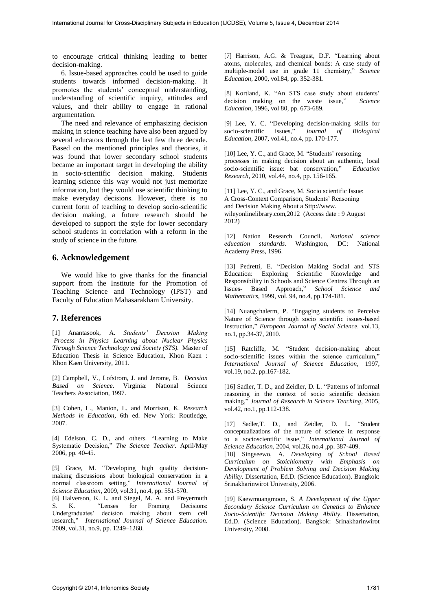to encourage critical thinking leading to better decision-making.

 6. Issue-based approaches could be used to guide students towards informed decision-making. It promotes the students' conceptual understanding, understanding of scientific inquiry, attitudes and values, and their ability to engage in rational argumentation.

 The need and relevance of emphasizing decision making in science teaching have also been argued by several educators through the last few three decade. Based on the mentioned principles and theories, it was found that lower secondary school students became an important target in developing the ability in socio-scientific decision making. Students learning science this way would not just memorize information, but they would use scientific thinking to make everyday decisions. However, there is no current form of teaching to develop socio-scientific decision making, a future research should be developed to support the style for lower secondary school students in correlation with a reform in the study of science in the future.

## **6. Acknowledgement**

We would like to give thanks for the financial support from the Institute for the Promotion of Teaching Science and Technology (IPST) and Faculty of Education Mahasarakham University.

### **7. References**

[1] Anantasook, A. *Students' Decision Making Process in Physics Learning about Nuclear Physics Through Science Technology and Society (STS).* Master of Education Thesis in Science Education, Khon Kaen : Khon Kaen University, 2011.

[2] Campbell, V., Lofstrom, J. and Jerome, B. *Decision Based on Science*. Virginia: National Science Teachers Association, 1997.

[3] Cohen, L., Manion, L. and Morrison, K. *Research Methods in Education*, 6th ed. New York: Routledge, 2007.

[4] Edelson, C. D., and others. "Learning to Make Systematic Decision," *The Science Teacher*. April/May 2006, pp. 40-45.

[5] Grace, M. "Developing high quality decisionmaking discussions about biological conservation in a normal classroom setting," *International Journal of Science Education*, 2009, vol.31, no.4, pp. 551-570.

[6] Halverson, K. L. and Siegel, M. A. and Freyermuth S. K. "Lenses for Framing Decisions: Undergraduates' decision making about stem cell research," *International Journal of Science Education*. 2009, vol.31, no.9, pp. 1249–1268.

[7] Harrison, A.G. & Treagust, D.F. "Learning about atoms, molecules, and chemical bonds: A case study of multiple-model use in grade 11 chemistry," *Science Education*, 2000, vol.84, pp. 352-381.

[8] Kortland, K. "An STS case study about students' decision making on the waste issue," *Science Education*, 1996, vol 80, pp. 673-689.

[9] Lee, Y. C. "Developing decision-making skills for socio-scientific issues," Journal of Biological Journal of Biological *Education*, 2007, vol.41, no.4, pp. 170-177.

[10] Lee, Y. C., and Grace, M. "Students' reasoning processes in making decision about an authentic, local socio-scientific issue: bat conservation," *Education Research*, 2010, vol.44, no.4, pp. 156-165.

[11] Lee, Y. C., and Grace, M. Socio scientific Issue: A Cross-Context Comparison, Students' Reasoning and Decision Making About a Sttp://www. wileyonlinelibrary.com,2012 (Access date : 9 August 2012)

[12] Nation Research Council. *National science education standards*. Washington, DC: National Academy Press, 1996.

[13] Pedretti, E. "Decision Making Social and STS Education: Exploring Scientific Knowledge Responsibility in Schools and Science Centres Through an Issues- Based Approach," *School Science and Mathematics*, 1999, vol. 94, no.4, pp.174-181.

[14] Nuangchalerm, P. "Engaging students to Perceive Nature of Science through socio scientific issues-based Instruction," *European Journal of Social Science.* vol.13, no.1, pp.34-37, 2010.

[15] Ratcliffe, M. "Student decision-making about socio-scientific issues within the science curriculum," *International Journal of Science Education*, 1997, vol.19, no.2, pp.167-182.

[16] Sadler, T. D., and Zeidler, D. L. "Patterns of informal reasoning in the context of socio scientific decision making," *Journal of Research in Science Teaching*, 2005, vol.42, no.1, pp.112-138.

[17] Sadler,T. D., and Zeidler, D. L. "Student conceptualizations of the nature of science in response to a socioscientific issue," *International Journal of Science Education*, 2004, vol.26, no.4 ,pp. 387-409. [18] Singseewo, A. *Developing of School Based Curriculum on Stoichiometry with Emphasis on Development of Problem Solving and Decision Making Ability*. Dissertation, Ed.D. (Science Education). Bangkok: Srinakharinwirot University, 2006.

[19] Kaewmuangmoon, S. *A Development of the Upper Secondary Science Curriculum on Genetics to Enhance Socio-Scientific Decision Making Ability*. Dissertation, Ed.D. (Science Education). Bangkok: Srinakharinwirot University, 2008.